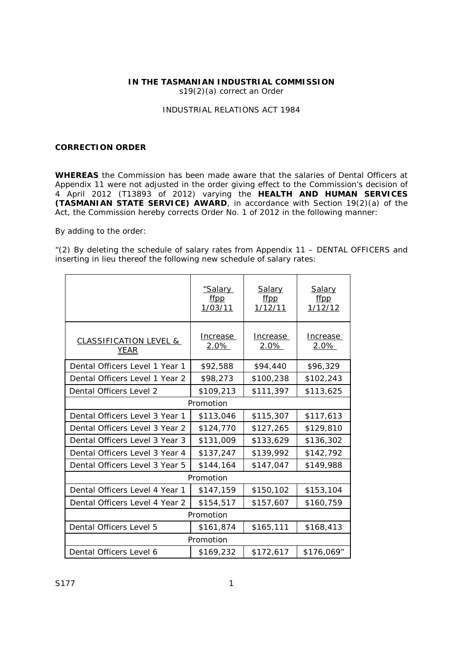## **IN THE TASMANIAN INDUSTRIAL COMMISSION**

s19(2)(a) correct an Order

## *INDUSTRIAL RELATIONS ACT 1984*

## **CORRECTION ORDER**

**WHEREAS** the Commission has been made aware that the salaries of Dental Officers at Appendix 11 were not adjusted in the order giving effect to the Commission's decision of 4 April 2012 (T13893 of 2012) varying the **HEALTH AND HUMAN SERVICES (TASMANIAN STATE SERVICE) AWARD**, in accordance with Section 19(2)(a) of the Act, the Commission hereby corrects Order No. 1 of 2012 in the following manner:

By adding to the order:

"(2) By deleting the schedule of salary rates from Appendix 11 – DENTAL OFFICERS and inserting in lieu thereof the following new schedule of salary rates:

|                                                  | "Salary<br>ffpp<br>1/03/11 | Salary<br>ffpp<br>1/12/11 | Salary<br>ffpp<br>1/12/12 |
|--------------------------------------------------|----------------------------|---------------------------|---------------------------|
| <b>CLASSIFICATION LEVEL &amp;</b><br><b>YEAR</b> | Increase<br>2.0%           | Increase<br>2.0%          | Increase<br>2.0%          |
| Dental Officers Level 1 Year 1                   | \$92,588                   | \$94,440                  | \$96,329                  |
| Dental Officers Level 1 Year 2                   | \$98,273                   | \$100,238                 | \$102,243                 |
| Dental Officers Level 2                          | \$109,213                  | \$111,397                 | \$113,625                 |
| Promotion                                        |                            |                           |                           |
| Dental Officers Level 3 Year 1                   | \$113,046                  | \$115,307                 | \$117,613                 |
| Dental Officers Level 3 Year 2                   | \$124,770                  | \$127,265                 | \$129,810                 |
| Dental Officers Level 3 Year 3                   | \$131,009                  | \$133,629                 | \$136,302                 |
| Dental Officers Level 3 Year 4                   | \$137,247                  | \$139,992                 | \$142,792                 |
| Dental Officers Level 3 Year 5                   | \$144,164                  | \$147,047                 | \$149,988                 |
| Promotion                                        |                            |                           |                           |
| Dental Officers Level 4 Year 1                   | \$147,159                  | \$150,102                 | \$153,104                 |
| Dental Officers Level 4 Year 2                   | \$154,517                  | \$157,607                 | \$160,759                 |
| Promotion                                        |                            |                           |                           |
| Dental Officers Level 5                          | \$161,874                  | \$165,111                 | \$168,413                 |
| Promotion                                        |                            |                           |                           |
| Dental Officers Level 6                          | \$169,232                  | \$172,617                 | \$176,069"                |